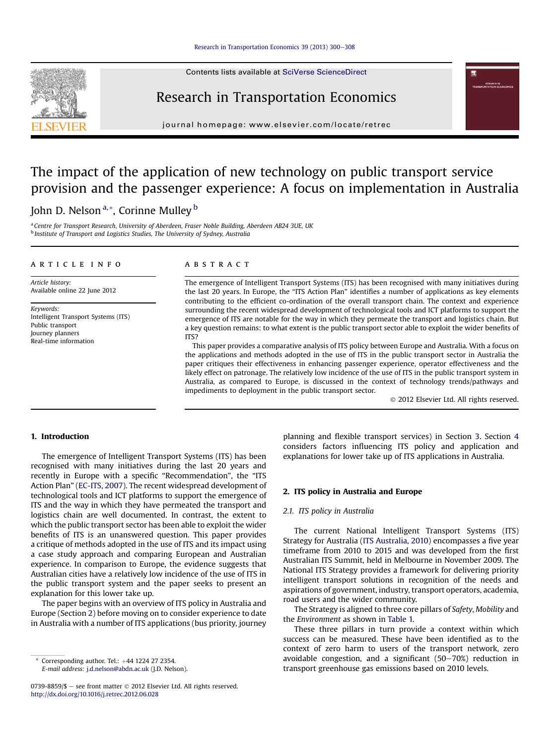Contents lists available at SciVerse ScienceDirect

Research in Transportation Economics

journal homepage: [www.elsevier.com/locate/retrec](http://www.elsevier.com/locate/retrec)

# The impact of the application of new technology on public transport service provision and the passenger experience: A focus on implementation in Australia

# John D. Nelson<sup>a,\*</sup>, Corinne Mulley<sup>b</sup>

a Centre for Transport Research, University of Aberdeen, Fraser Noble Building, Aberdeen AB24 3UE, UK **b** Institute of Transport and Logistics Studies, The University of Sydney, Australia

### article info

Article history: Available online 22 June 2012

Keywords: Intelligent Transport Systems (ITS) Public transport Journey planners Real-time information

## ABSTRACT

The emergence of Intelligent Transport Systems (ITS) has been recognised with many initiatives during the last 20 years. In Europe, the "ITS Action Plan" identifies a number of applications as key elements contributing to the efficient co-ordination of the overall transport chain. The context and experience surrounding the recent widespread development of technological tools and ICT platforms to support the emergence of ITS are notable for the way in which they permeate the transport and logistics chain. But a key question remains: to what extent is the public transport sector able to exploit the wider benefits of ITS?

This paper provides a comparative analysis of ITS policy between Europe and Australia. With a focus on the applications and methods adopted in the use of ITS in the public transport sector in Australia the paper critiques their effectiveness in enhancing passenger experience, operator effectiveness and the likely effect on patronage. The relatively low incidence of the use of ITS in the public transport system in Australia, as compared to Europe, is discussed in the context of technology trends/pathways and impediments to deployment in the public transport sector.

2012 Elsevier Ltd. All rights reserved.

# 1. Introduction

The emergence of Intelligent Transport Systems (ITS) has been recognised with many initiatives during the last 20 years and recently in Europe with a specific "Recommendation", the "ITS Action Plan" ([EC-ITS, 2007\)](#page--1-0). The recent widespread development of technological tools and ICT platforms to support the emergence of ITS and the way in which they have permeated the transport and logistics chain are well documented. In contrast, the extent to which the public transport sector has been able to exploit the wider benefits of ITS is an unanswered question. This paper provides a critique of methods adopted in the use of ITS and its impact using a case study approach and comparing European and Australian experience. In comparison to Europe, the evidence suggests that Australian cities have a relatively low incidence of the use of ITS in the public transport system and the paper seeks to present an explanation for this lower take up.

The paper begins with an overview of ITS policy in Australia and Europe (Section 2) before moving on to consider experience to date in Australia with a number of ITS applications (bus priority, journey

Corresponding author. Tel.:  $+44$  1224 27 2354. E-mail address: [j.d.nelson@abdn.ac.uk](mailto:j.d.nelson@abdn.ac.uk) (J.D. Nelson).

0739-8859/\$ - see front matter  $\odot$  2012 Elsevier Ltd. All rights reserved. <http://dx.doi.org/10.1016/j.retrec.2012.06.028>

planning and flexible transport services) in Section [3](#page--1-0). Section [4](#page--1-0) considers factors influencing ITS policy and application and explanations for lower take up of ITS applications in Australia.

# 2. ITS policy in Australia and Europe

# 2.1. ITS policy in Australia

The current National Intelligent Transport Systems (ITS) Strategy for Australia ([ITS Australia, 2010](#page--1-0)) encompasses a five year timeframe from 2010 to 2015 and was developed from the first Australian ITS Summit, held in Melbourne in November 2009. The National ITS Strategy provides a framework for delivering priority intelligent transport solutions in recognition of the needs and aspirations of government, industry, transport operators, academia, road users and the wider community.

The Strategy is aligned to three core pillars of Safety, Mobility and the Environment as shown in [Table 1.](#page-1-0)

These three pillars in turn provide a context within which success can be measured. These have been identified as to the context of zero harm to users of the transport network, zero avoidable congestion, and a significant  $(50-70%)$  reduction in transport greenhouse gas emissions based on 2010 levels.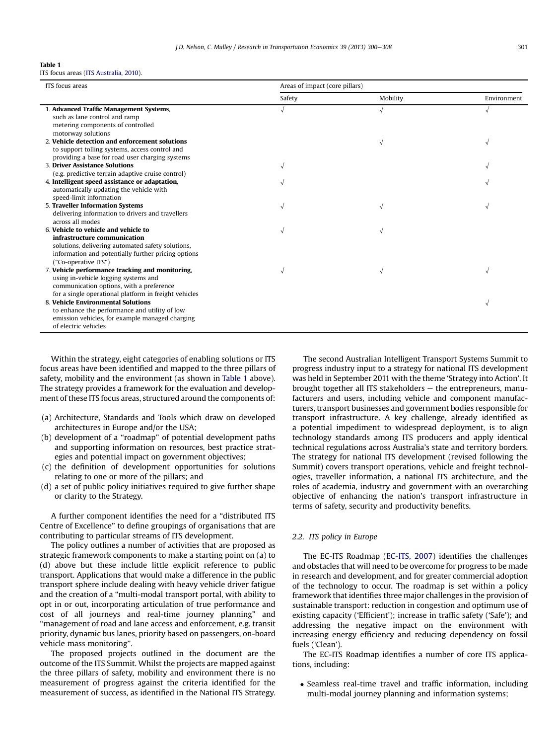### <span id="page-1-0"></span>Table 1 ITS focus areas ([ITS Australia, 2010](#page--1-0)).

| ITS focus areas                                       | Areas of impact (core pillars) |          |             |
|-------------------------------------------------------|--------------------------------|----------|-------------|
|                                                       | Safety                         | Mobility | Environment |
| 1. Advanced Traffic Management Systems,               |                                |          |             |
| such as lane control and ramp                         |                                |          |             |
| metering components of controlled                     |                                |          |             |
| motorway solutions                                    |                                |          |             |
| 2. Vehicle detection and enforcement solutions        |                                |          | ν           |
| to support tolling systems, access control and        |                                |          |             |
| providing a base for road user charging systems       |                                |          |             |
| <b>3. Driver Assistance Solutions</b>                 |                                |          |             |
| (e.g. predictive terrain adaptive cruise control)     |                                |          |             |
| 4. Intelligent speed assistance or adaptation,        |                                |          |             |
| automatically updating the vehicle with               |                                |          |             |
| speed-limit information                               |                                |          |             |
| 5. Traveller Information Systems                      |                                |          | ν           |
| delivering information to drivers and travellers      |                                |          |             |
| across all modes                                      |                                |          |             |
| 6. Vehicle to vehicle and vehicle to                  |                                |          |             |
| infrastructure communication                          |                                |          |             |
| solutions, delivering automated safety solutions,     |                                |          |             |
| information and potentially further pricing options   |                                |          |             |
| ("Co-operative ITS")                                  |                                |          |             |
| 7. Vehicle performance tracking and monitoring,       |                                |          |             |
| using in-vehicle logging systems and                  |                                |          |             |
| communication options, with a preference              |                                |          |             |
| for a single operational platform in freight vehicles |                                |          |             |
| 8. Vehicle Environmental Solutions                    |                                |          | ν           |
| to enhance the performance and utility of low         |                                |          |             |
| emission vehicles, for example managed charging       |                                |          |             |
| of electric vehicles                                  |                                |          |             |

Within the strategy, eight categories of enabling solutions or ITS focus areas have been identified and mapped to the three pillars of safety, mobility and the environment (as shown in Table 1 above). The strategy provides a framework for the evaluation and development of these ITS focus areas, structured around the components of:

- (a) Architecture, Standards and Tools which draw on developed architectures in Europe and/or the USA;
- (b) development of a "roadmap" of potential development paths and supporting information on resources, best practice strategies and potential impact on government objectives;
- (c) the definition of development opportunities for solutions relating to one or more of the pillars; and
- (d) a set of public policy initiatives required to give further shape or clarity to the Strategy.

A further component identifies the need for a "distributed ITS Centre of Excellence" to define groupings of organisations that are contributing to particular streams of ITS development.

The policy outlines a number of activities that are proposed as strategic framework components to make a starting point on (a) to (d) above but these include little explicit reference to public transport. Applications that would make a difference in the public transport sphere include dealing with heavy vehicle driver fatigue and the creation of a "multi-modal transport portal, with ability to opt in or out, incorporating articulation of true performance and cost of all journeys and real-time journey planning" and "management of road and lane access and enforcement, e.g. transit priority, dynamic bus lanes, priority based on passengers, on-board vehicle mass monitoring".

The proposed projects outlined in the document are the outcome of the ITS Summit. Whilst the projects are mapped against the three pillars of safety, mobility and environment there is no measurement of progress against the criteria identified for the measurement of success, as identified in the National ITS Strategy.

The second Australian Intelligent Transport Systems Summit to progress industry input to a strategy for national ITS development was held in September 2011 with the theme 'Strategy into Action'. It brought together all ITS stakeholders  $-$  the entrepreneurs, manufacturers and users, including vehicle and component manufacturers, transport businesses and government bodies responsible for transport infrastructure. A key challenge, already identified as a potential impediment to widespread deployment, is to align technology standards among ITS producers and apply identical technical regulations across Australia's state and territory borders. The strategy for national ITS development (revised following the Summit) covers transport operations, vehicle and freight technologies, traveller information, a national ITS architecture, and the roles of academia, industry and government with an overarching objective of enhancing the nation's transport infrastructure in terms of safety, security and productivity benefits.

## 2.2. ITS policy in Europe

The EC-ITS Roadmap ([EC-ITS, 2007](#page--1-0)) identifies the challenges and obstacles that will need to be overcome for progress to be made in research and development, and for greater commercial adoption of the technology to occur. The roadmap is set within a policy framework that identifies three major challenges in the provision of sustainable transport: reduction in congestion and optimum use of existing capacity ('Efficient'); increase in traffic safety ('Safe'); and addressing the negative impact on the environment with increasing energy efficiency and reducing dependency on fossil fuels ('Clean').

The EC-ITS Roadmap identifies a number of core ITS applications, including:

- Seamless real-time travel and traffic information, including multi-modal journey planning and information systems;